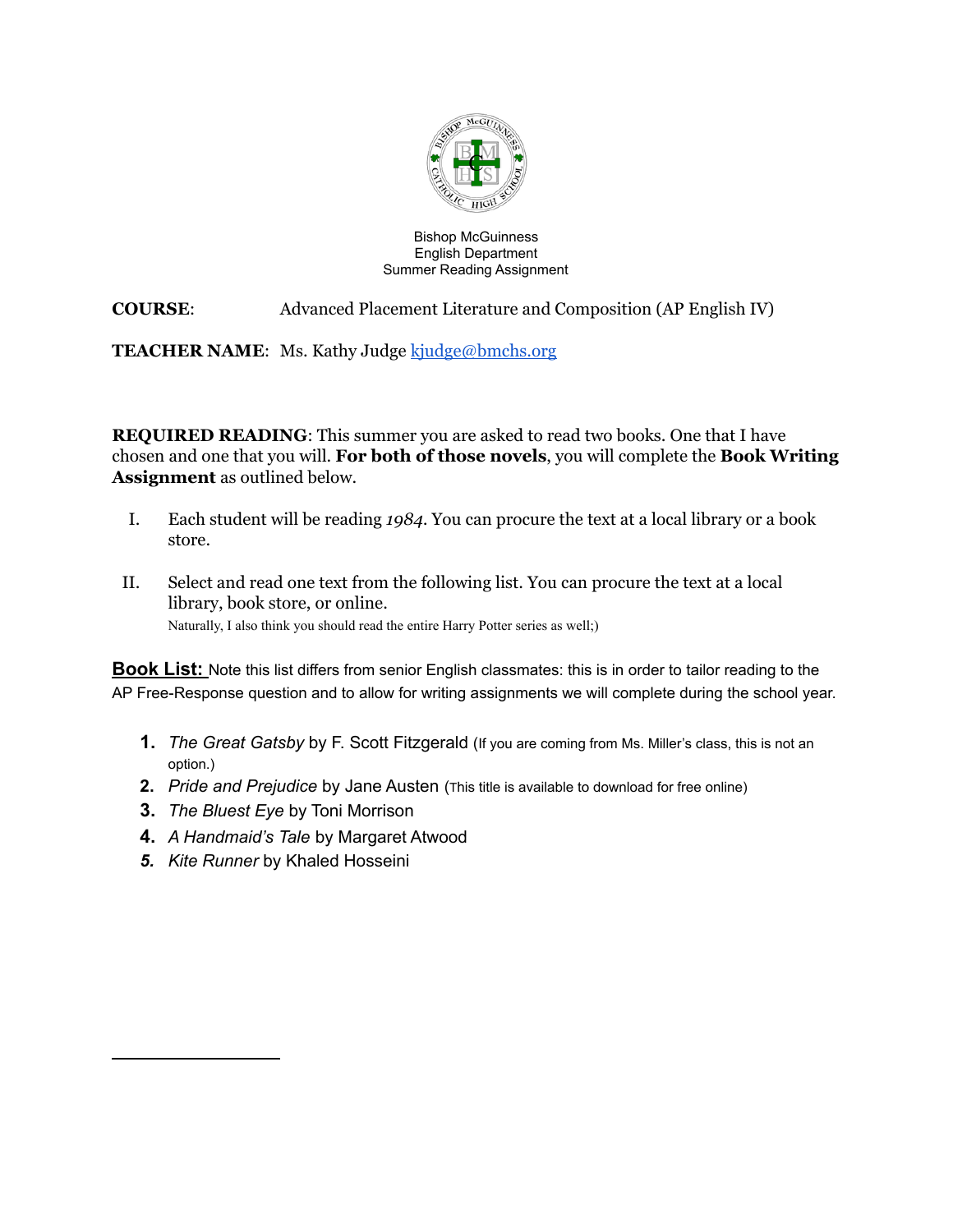

#### Bishop McGuinness English Department Summer Reading Assignment

**COURSE**: Advanced Placement Literature and Composition (AP English IV)

**TEACHER NAME:** Ms. Kathy Judge [kjudge@bmchs.org](mailto:kjudge@bmchs.org)

**REQUIRED READING**: This summer you are asked to read two books. One that I have chosen and one that you will. **For both of those novels**, you will complete the **Book Writing Assignment** as outlined below.

- I. Each student will be reading *1984.* You can procure the text at a local library or a book store.
- II. Select and read one text from the following list. You can procure the text at a local library, book store, or online. Naturally, I also think you should read the entire Harry Potter series as well;)

**Book List:** Note this list differs from senior English classmates: this is in order to tailor reading to the AP Free-Response question and to allow for writing assignments we will complete during the school year.

- **1.** *The Great Gatsby* by F. Scott Fitzgerald (If you are coming from Ms. Miller's class, this is not an option.)
- **2.** *Pride and Prejudice* by Jane Austen (This title is available to download for free online)
- **3.** *The Bluest Eye* by Toni Morrison
- **4.** *A Handmaid's Tale* by Margaret Atwood
- *5. Kite Runner* by Khaled Hosseini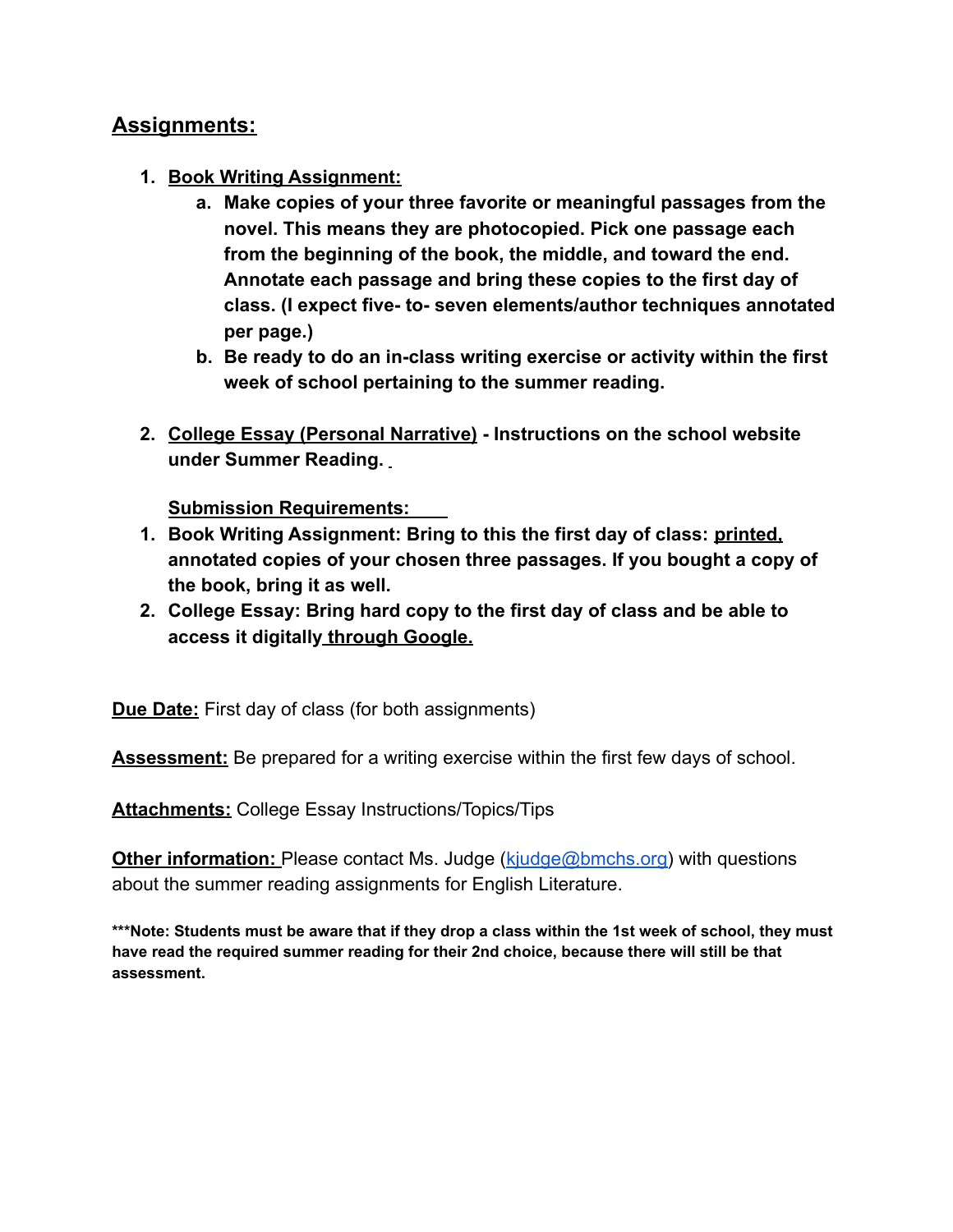# **Assignments:**

- **1. Book Writing Assignment:**
	- **a. Make copies of your three favorite or meaningful passages from the novel. This means they are photocopied. Pick one passage each from the beginning of the book, the middle, and toward the end. Annotate each passage and bring these copies to the first day of class. (I expect five- to- seven elements/author techniques annotated per page.)**
	- **b. Be ready to do an in-class writing exercise or activity within the first week of school pertaining to the summer reading.**
- **2. College Essay (Personal Narrative) Instructions on the school website under Summer Reading.**

**Submission Requirements:**

- **1. Book Writing Assignment: Bring to this the first day of class: printed, annotated copies of your chosen three passages. If you bought a copy of the book, bring it as well.**
- **2. College Essay: Bring hard copy to the first day of class and be able to access it digitally through Google.**

**Due Date:** First day of class (for both assignments)

**Assessment:** Be prepared for a writing exercise within the first few days of school.

**Attachments:** College Essay Instructions/Topics/Tips

**Other information:** Please contact Ms. Judge [\(kjudge@bmchs.org\)](mailto:kjudge@bmchs.org) with questions about the summer reading assignments for English Literature.

\*\*\*Note: Students must be aware that if they drop a class within the 1st week of school, they must **have read the required summer reading for their 2nd choice, because there will still be that assessment.**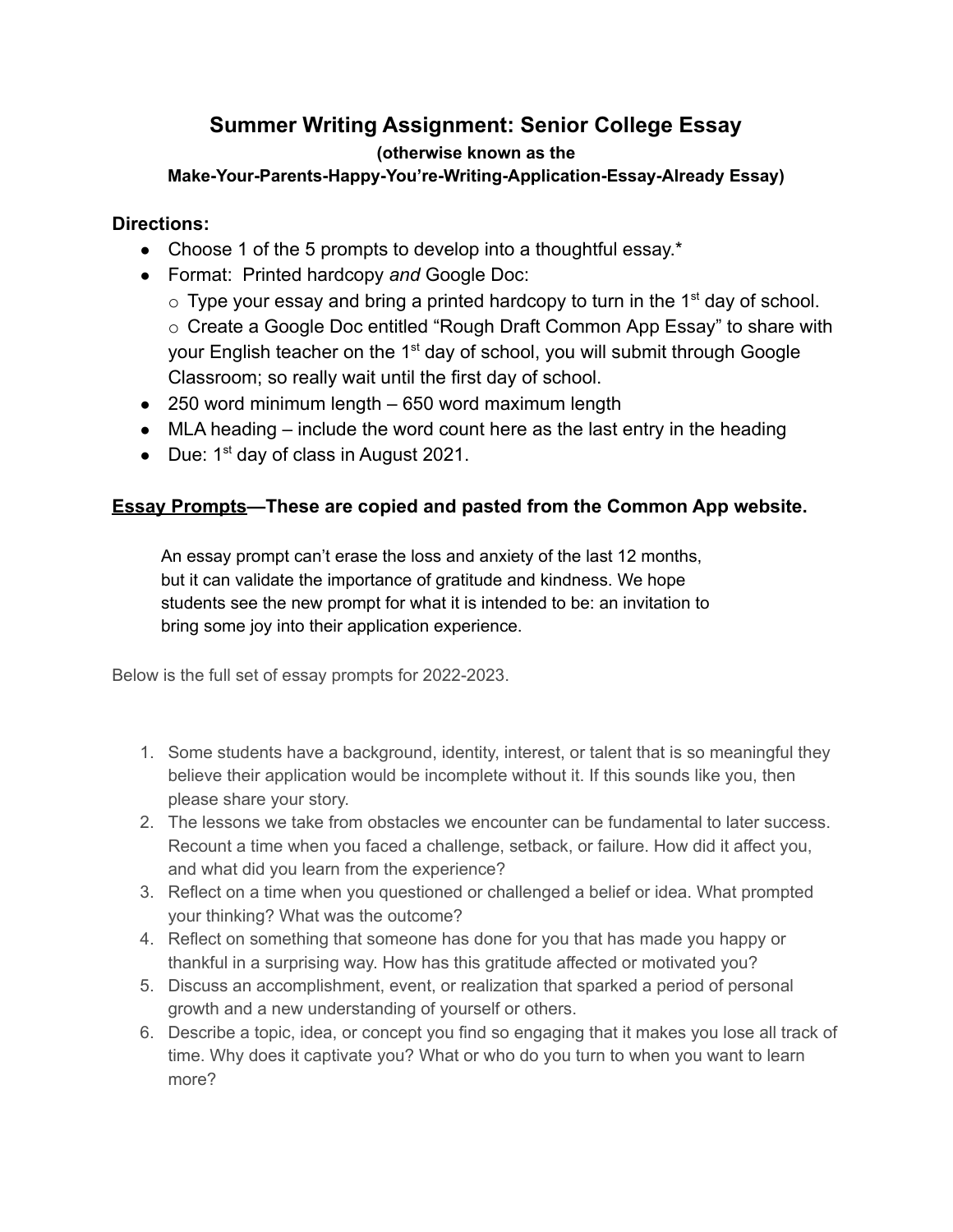# **Summer Writing Assignment: Senior College Essay (otherwise known as the Make-Your-Parents-Happy-You're-Writing-Application-Essay-Already Essay)**

### **Directions:**

- Choose 1 of the 5 prompts to develop into a thoughtful essay.\*
- Format: Printed hardcopy *and* Google Doc:
	- $\circ$  Type your essay and bring a printed hardcopy to turn in the 1<sup>st</sup> day of school. o Create a Google Doc entitled "Rough Draft Common App Essay" to share with your English teacher on the 1<sup>st</sup> day of school, you will submit through Google Classroom; so really wait until the first day of school.
- $\bullet$  250 word minimum length 650 word maximum length
- $\bullet$  MLA heading include the word count here as the last entry in the heading
- Due:  $1<sup>st</sup>$  day of class in August 2021.

## **Essay Prompts—These are copied and pasted from the Common App website.**

An essay prompt can't erase the loss and anxiety of the last 12 months, but it can validate the importance of gratitude and kindness. We hope students see the new prompt for what it is intended to be: an invitation to bring some joy into their application experience.

Below is the full set of essay prompts for 2022-2023.

- 1. Some students have a background, identity, interest, or talent that is so meaningful they believe their application would be incomplete without it. If this sounds like you, then please share your story.
- 2. The lessons we take from obstacles we encounter can be fundamental to later success. Recount a time when you faced a challenge, setback, or failure. How did it affect you, and what did you learn from the experience?
- 3. Reflect on a time when you questioned or challenged a belief or idea. What prompted your thinking? What was the outcome?
- 4. Reflect on something that someone has done for you that has made you happy or thankful in a surprising way. How has this gratitude affected or motivated you?
- 5. Discuss an accomplishment, event, or realization that sparked a period of personal growth and a new understanding of yourself or others.
- 6. Describe a topic, idea, or concept you find so engaging that it makes you lose all track of time. Why does it captivate you? What or who do you turn to when you want to learn more?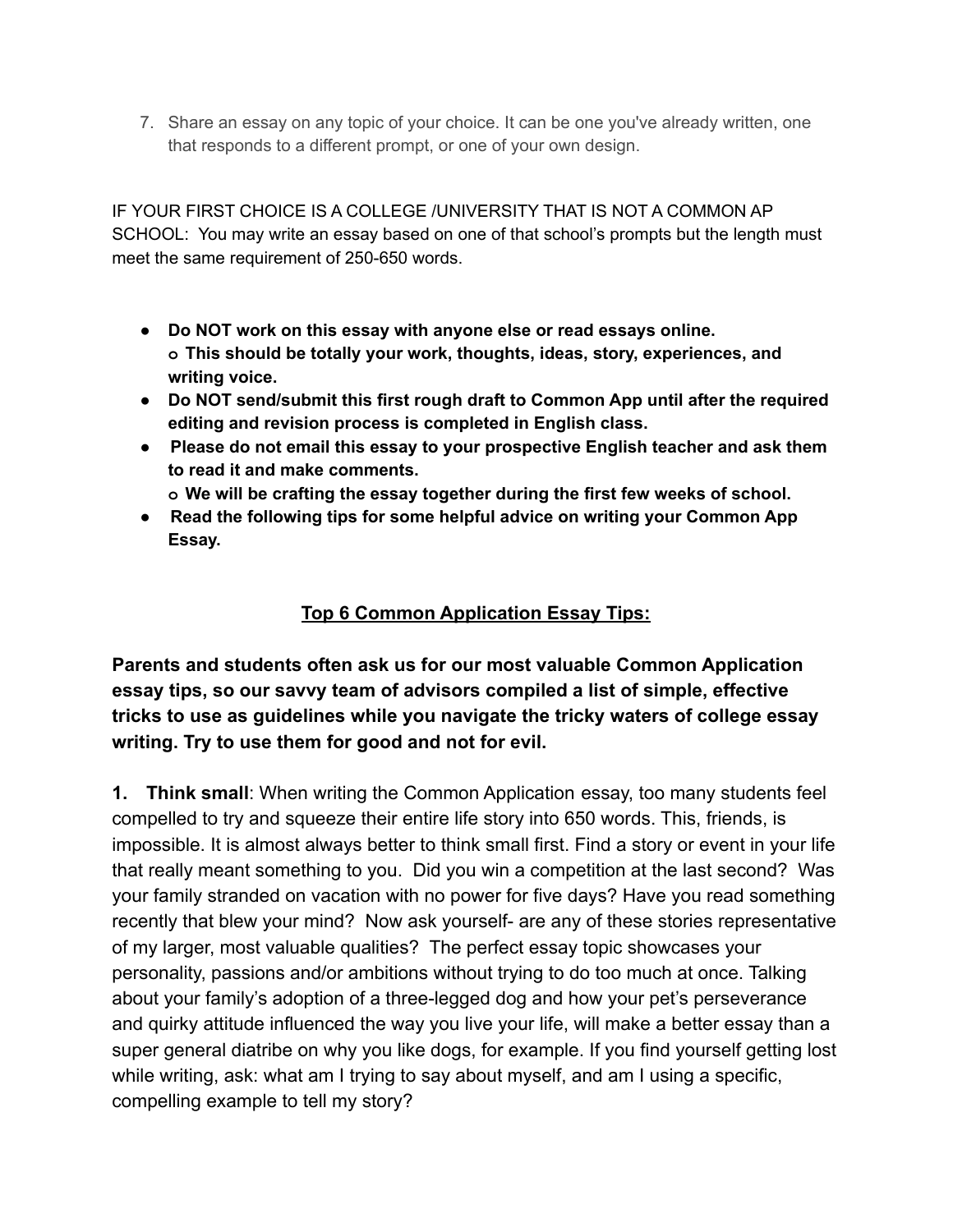7. Share an essay on any topic of your choice. It can be one you've already written, one that responds to a different prompt, or one of your own design.

IF YOUR FIRST CHOICE IS A COLLEGE /UNIVERSITY THAT IS NOT A COMMON AP SCHOOL: You may write an essay based on one of that school's prompts but the length must meet the same requirement of 250-650 words.

- **● Do NOT work on this essay with anyone else or read essays online. o This should be totally your work, thoughts, ideas, story, experiences, and writing voice.**
- **● Do NOT send/submit this first rough draft to Common App until after the required editing and revision process is completed in English class.**
- **Please do not email this essay to your prospective English teacher and ask them to read it and make comments.**
	- **o We will be crafting the essay together during the first few weeks of school.**
- **Read the following tips for some helpful advice on writing your Common App Essay.**

## **Top 6 Common Application Essay Tips:**

**Parents and students often ask us for our most valuable Common Application essay tips, so our savvy team of advisors compiled a list of simple, effective tricks to use as guidelines while you navigate the tricky waters of college essay writing. Try to use them for good and not for evil.**

**1. Think small**: When writing the Common Application essay, too many students feel compelled to try and squeeze their entire life story into 650 words. This, friends, is impossible. It is almost always better to think small first. Find a story or event in your life that really meant something to you. Did you win a competition at the last second? Was your family stranded on vacation with no power for five days? Have you read something recently that blew your mind? Now ask yourself- are any of these stories representative of my larger, most valuable qualities? The perfect essay topic showcases your personality, passions and/or ambitions without trying to do too much at once. Talking about your family's adoption of a three-legged dog and how your pet's perseverance and quirky attitude influenced the way you live your life, will make a better essay than a super general diatribe on why you like dogs, for example. If you find yourself getting lost while writing, ask: what am I trying to say about myself, and am I using a specific, compelling example to tell my story?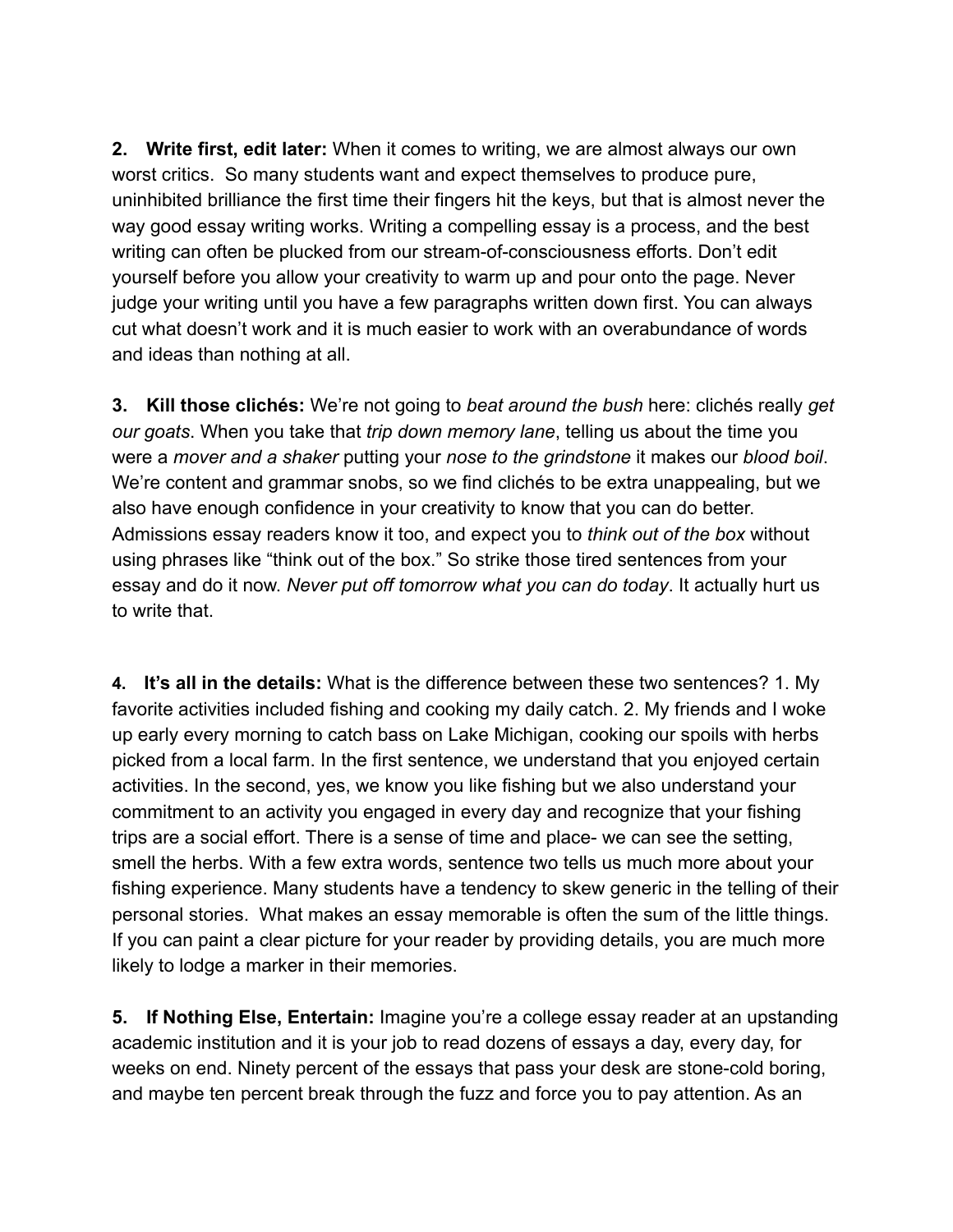**2. Write first, edit later:** When it comes to writing, we are almost always our own worst critics. So many students want and expect themselves to produce pure, uninhibited brilliance the first time their fingers hit the keys, but that is almost never the way good essay writing works. Writing a compelling essay is a process, and the best writing can often be plucked from our stream-of-consciousness efforts. Don't edit yourself before you allow your creativity to warm up and pour onto the page. Never judge your writing until you have a few paragraphs written down first. You can always cut what doesn't work and it is much easier to work with an overabundance of words and ideas than nothing at all.

**3. Kill those clichés:** We're not going to *beat around the bush* here: clichés really *get our goats*. When you take that *trip down memory lane*, telling us about the time you were a *mover and a shaker* putting your *nose to the grindstone* it makes our *blood boil*. We're content and grammar snobs, so we find clichés to be extra unappealing, but we also have enough confidence in your creativity to know that you can do better. Admissions essay readers know it too, and expect you to *think out of the box* without using phrases like "think out of the box." So strike those tired sentences from your essay and do it now. *Never put off tomorrow what you can do today*. It actually hurt us to write that.

**4. It's all in the details:** What is the difference between these two sentences? 1. My favorite activities included fishing and cooking my daily catch. 2. My friends and I woke up early every morning to catch bass on Lake Michigan, cooking our spoils with herbs picked from a local farm. In the first sentence, we understand that you enjoyed certain activities. In the second, yes, we know you like fishing but we also understand your commitment to an activity you engaged in every day and recognize that your fishing trips are a social effort. There is a sense of time and place- we can see the setting, smell the herbs. With a few extra words, sentence two tells us much more about your fishing experience. Many students have a tendency to skew generic in the telling of their personal stories. What makes an essay memorable is often the sum of the little things. If you can paint a clear picture for your reader by providing details, you are much more likely to lodge a marker in their memories.

**5. If Nothing Else, Entertain:** Imagine you're a college essay reader at an upstanding academic institution and it is your job to read dozens of essays a day, every day, for weeks on end. Ninety percent of the essays that pass your desk are stone-cold boring, and maybe ten percent break through the fuzz and force you to pay attention. As an